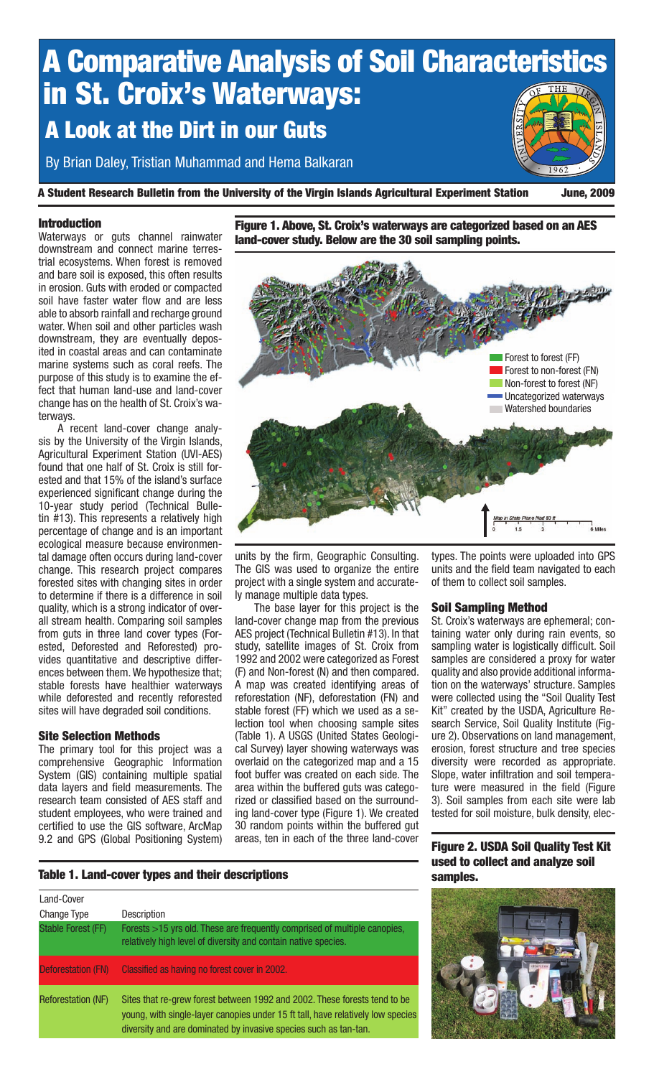

A Student Research Bulletin from the University of the Virgin Islands Agricultural Experiment Station June, 2009

#### Introduction

Waterways or guts channel rainwater downstream and connect marine terrestrial ecosystems. When forest is removed and bare soil is exposed, this often results in erosion. Guts with eroded or compacted soil have faster water flow and are less able to absorb rainfall and recharge ground water. When soil and other particles wash downstream, they are eventually deposited in coastal areas and can contaminate marine systems such as coral reefs. The purpose of this study is to examine the effect that human land-use and land-cover change has on the health of St. Croix's waterways.

A recent land-cover change analysis by the University of the Virgin Islands, Agricultural Experiment Station (UVI-AES) found that one half of St. Croix is still forested and that 15% of the island's surface experienced significant change during the 10-year study period (Technical Bulletin #13). This represents a relatively high percentage of change and is an important ecological measure because environmental damage often occurs during land-cover change. This research project compares forested sites with changing sites in order to determine if there is a difference in soil quality, which is a strong indicator of overall stream health. Comparing soil samples from guts in three land cover types (Forested, Deforested and Reforested) provides quantitative and descriptive differences between them. We hypothesize that; stable forests have healthier waterways while deforested and recently reforested sites will have degraded soil conditions.

## Site Selection Methods

The primary tool for this project was a comprehensive Geographic Information System (GIS) containing multiple spatial data layers and field measurements. The research team consisted of AES staff and student employees, who were trained and certified to use the GIS software, ArcMap 9.2 and GPS (Global Positioning System)

Figure 1. Above, St. Croix's waterways are categorized based on an AES land-cover study. Below are the 30 soil sampling points.



units by the firm, Geographic Consulting. The GIS was used to organize the entire project with a single system and accurately manage multiple data types.

The base layer for this project is the land-cover change map from the previous AES project (Technical Bulletin #13). In that study, satellite images of St. Croix from 1992 and 2002 were categorized as Forest (F) and Non-forest (N) and then compared. A map was created identifying areas of reforestation (NF), deforestation (FN) and stable forest (FF) which we used as a selection tool when choosing sample sites (Table 1). A USGS (United States Geological Survey) layer showing waterways was overlaid on the categorized map and a 15 foot buffer was created on each side. The area within the buffered guts was categorized or classified based on the surrounding land-cover type (Figure 1). We created 30 random points within the buffered gut areas, ten in each of the three land-cover types. The points were uploaded into GPS units and the field team navigated to each of them to collect soil samples.

## Soil Sampling Method

St. Croix's waterways are ephemeral; containing water only during rain events, so sampling water is logistically difficult. Soil samples are considered a proxy for water quality and also provide additional information on the waterways' structure. Samples were collected using the "Soil Quality Test Kit" created by the USDA, Agriculture Research Service, Soil Quality Institute (Figure 2). Observations on land management, erosion, forest structure and tree species diversity were recorded as appropriate. Slope, water infiltration and soil temperature were measured in the field (Figure 3). Soil samples from each site were lab tested for soil moisture, bulk density, elec-

Figure 2. USDA Soil Quality Test Kit used to collect and analyze soil samples.

#### Table 1. Land-cover types and their descriptions

| Land-Cover                |                                                                                                                                                                                                                                  |
|---------------------------|----------------------------------------------------------------------------------------------------------------------------------------------------------------------------------------------------------------------------------|
| <b>Change Type</b>        | Description                                                                                                                                                                                                                      |
| <b>Stable Forest (FF)</b> | Forests >15 yrs old. These are frequently comprised of multiple canopies,<br>relatively high level of diversity and contain native species.                                                                                      |
| <b>Deforestation (FN)</b> | Classified as having no forest cover in 2002.                                                                                                                                                                                    |
| <b>Reforestation (NF)</b> | Sites that re-grew forest between 1992 and 2002. These forests tend to be<br>young, with single-layer canopies under 15 ft tall, have relatively low species<br>diversity and are dominated by invasive species such as tan-tan. |